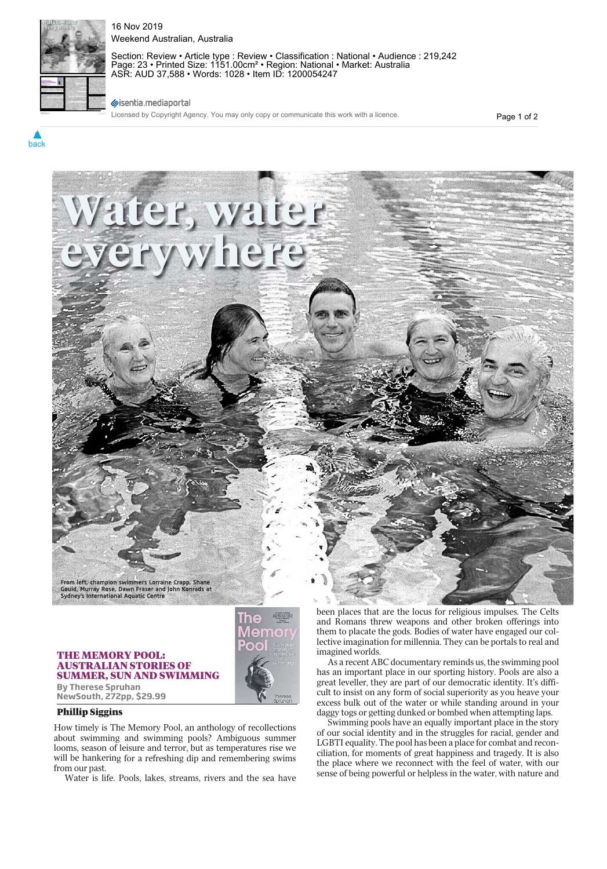

back

16 Nov 2019 Weekend Australian, Australia

Section: Review • Article type : Review • Classification : National • Audience : 219,242 Page: 23 • Printed Size: 1151.00cm² • Region: National • Market: Australia ASR: AUD 37,588 • Words: 1028 • Item ID: 1200054247

## sisentia.mediaportal

Licensed by Copyright Agency. You may only copy or communicate this work with a licence.

Page 1 of 2



## **THE MEMORY POOL: AUSTRALIAN STORIES OF** SUMMER, SUN AND SWIMMING SUMMER, SUN AND SWIMMING **By Therese Spruhan**

**NewSouth, 272pp, \$29.99**

## **Phillip Siggins**

How timely is The Memory Pool, an anthology of recollections about swimming and swimming pools? Ambiguous summer looms, season of leisure and terror, but as temperatures rise we will be hankering for a refreshing dip and remembering swims from our past.

Water is life. Pools, lakes, streams, rivers and the sea have

been places that are the locus for religious impulses. The Celts and Romans threw weapons and other broken offerings into them to placate the gods. Bodies of water have engaged our collective imagination for millennia. They can be portals to real and imagined worlds.

As a recent ABC documentary reminds us, the swimming pool has an important place in our sporting history. Pools are also a great leveller, they are part of our democratic identity. It's difficult to insist on any form of social superiority as you heave your excess bulk out of the water or while standing around in your daggy togs or getting dunked or bombed when attempting laps.

Swimming pools have an equally important place in the story of our social identity and in the struggles for racial, gender and LGBTI equality. The pool has been a place for combat and reconciliation, for moments of great happiness and tragedy. It is also the place where we reconnect with the feel of water, with our sense of being powerful or helpless in the water, with nature and